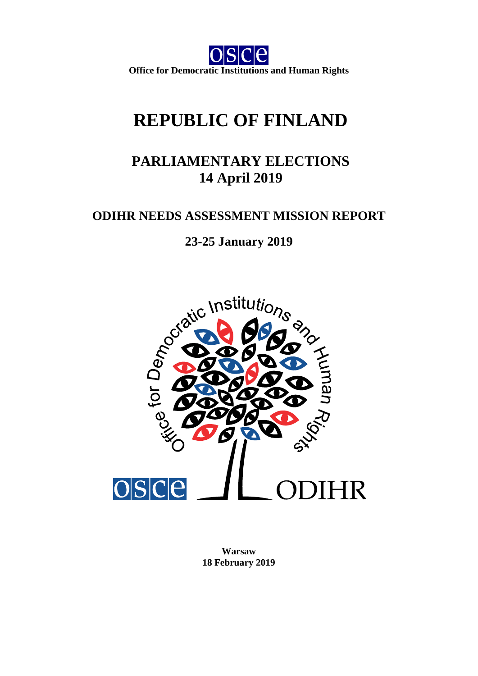$e$ **Office for Democratic Institutions and Human Rights**

# **REPUBLIC OF FINLAND**

## **PARLIAMENTARY ELECTIONS 14 April 2019**

### **ODIHR NEEDS ASSESSMENT MISSION REPORT**



**Warsaw 18 February 2019**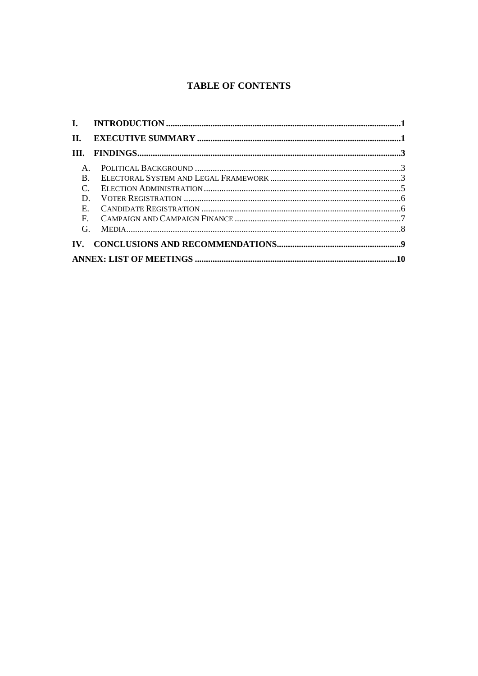### **TABLE OF CONTENTS**

| II.            |  |  |
|----------------|--|--|
|                |  |  |
| $\mathsf{A}$ . |  |  |
| $\mathbf{B}$ . |  |  |
| $\mathsf{C}$   |  |  |
| D              |  |  |
| $E_{\rm{m}}$   |  |  |
|                |  |  |
| G              |  |  |
|                |  |  |
|                |  |  |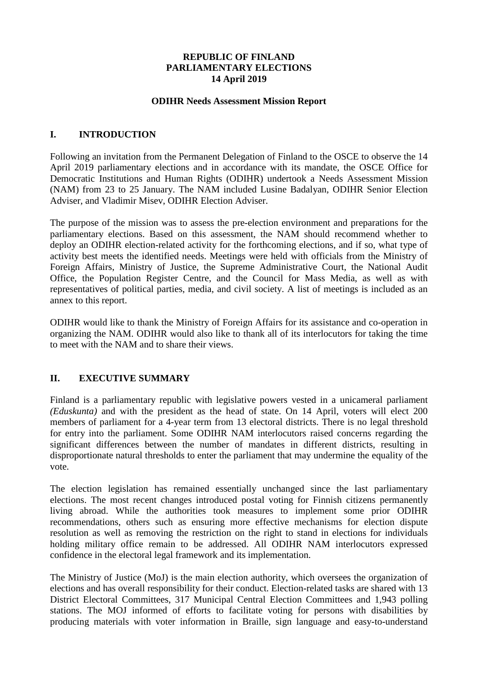#### **REPUBLIC OF FINLAND PARLIAMENTARY ELECTIONS 14 April 2019**

#### **ODIHR Needs Assessment Mission Report**

#### <span id="page-2-0"></span>**I. INTRODUCTION**

Following an invitation from the Permanent Delegation of Finland to the OSCE to observe the 14 April 2019 parliamentary elections and in accordance with its mandate, the OSCE Office for Democratic Institutions and Human Rights (ODIHR) undertook a Needs Assessment Mission (NAM) from 23 to 25 January. The NAM included Lusine Badalyan, ODIHR Senior Election Adviser, and Vladimir Misev, ODIHR Election Adviser.

The purpose of the mission was to assess the pre-election environment and preparations for the parliamentary elections. Based on this assessment, the NAM should recommend whether to deploy an ODIHR election-related activity for the forthcoming elections, and if so, what type of activity best meets the identified needs. Meetings were held with officials from the Ministry of Foreign Affairs, Ministry of Justice, the Supreme Administrative Court, the National Audit Office, the Population Register Centre, and the Council for Mass Media, as well as with representatives of political parties, media, and civil society. A list of meetings is included as an annex to this report.

ODIHR would like to thank the Ministry of Foreign Affairs for its assistance and co-operation in organizing the NAM. ODIHR would also like to thank all of its interlocutors for taking the time to meet with the NAM and to share their views.

#### <span id="page-2-1"></span>**II. EXECUTIVE SUMMARY**

Finland is a parliamentary republic with legislative powers vested in a unicameral parliament *(Eduskunta)* and with the president as the head of state. On 14 April, voters will elect 200 members of parliament for a 4-year term from 13 electoral districts. There is no legal threshold for entry into the parliament. Some ODIHR NAM interlocutors raised concerns regarding the significant differences between the number of mandates in different districts, resulting in disproportionate natural thresholds to enter the parliament that may undermine the equality of the vote.

The election legislation has remained essentially unchanged since the last parliamentary elections. The most recent changes introduced postal voting for Finnish citizens permanently living abroad. While the authorities took measures to implement some prior ODIHR recommendations, others such as ensuring more effective mechanisms for election dispute resolution as well as removing the restriction on the right to stand in elections for individuals holding military office remain to be addressed. All ODIHR NAM interlocutors expressed confidence in the electoral legal framework and its implementation.

The Ministry of Justice (MoJ) is the main election authority, which oversees the organization of elections and has overall responsibility for their conduct. Election-related tasks are shared with 13 District Electoral Committees, 317 Municipal Central Election Committees and 1,943 polling stations. The MOJ informed of efforts to facilitate voting for persons with disabilities by producing materials with voter information in Braille, sign language and easy-to-understand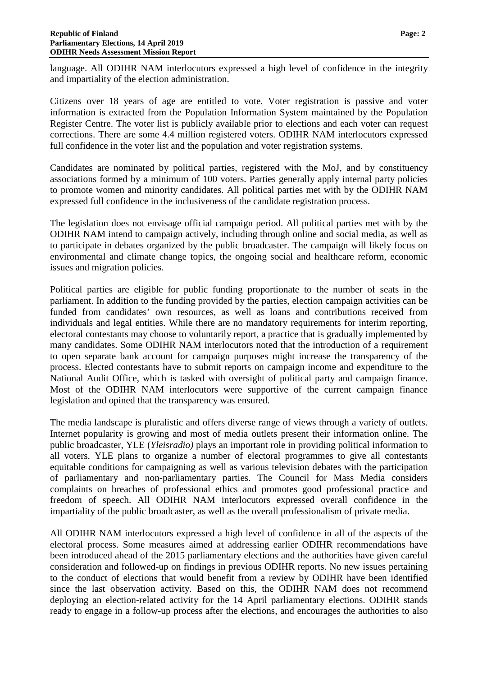language. All ODIHR NAM interlocutors expressed a high level of confidence in the integrity and impartiality of the election administration.

Citizens over 18 years of age are entitled to vote. Voter registration is passive and voter information is extracted from the Population Information System maintained by the Population Register Centre. The voter list is publicly available prior to elections and each voter can request corrections. There are some 4.4 million registered voters. ODIHR NAM interlocutors expressed full confidence in the voter list and the population and voter registration systems.

Candidates are nominated by political parties, registered with the MoJ, and by constituency associations formed by a minimum of 100 voters. Parties generally apply internal party policies to promote women and minority candidates. All political parties met with by the ODIHR NAM expressed full confidence in the inclusiveness of the candidate registration process.

The legislation does not envisage official campaign period. All political parties met with by the ODIHR NAM intend to campaign actively, including through online and social media, as well as to participate in debates organized by the public broadcaster. The campaign will likely focus on environmental and climate change topics, the ongoing social and healthcare reform, economic issues and migration policies.

Political parties are eligible for public funding proportionate to the number of seats in the parliament. In addition to the funding provided by the parties, election campaign activities can be funded from candidates' own resources, as well as loans and contributions received from individuals and legal entities. While there are no mandatory requirements for interim reporting, electoral contestants may choose to voluntarily report, a practice that is gradually implemented by many candidates. Some ODIHR NAM interlocutors noted that the introduction of a requirement to open separate bank account for campaign purposes might increase the transparency of the process. Elected contestants have to submit reports on campaign income and expenditure to the National Audit Office, which is tasked with oversight of political party and campaign finance. Most of the ODIHR NAM interlocutors were supportive of the current campaign finance legislation and opined that the transparency was ensured.

The media landscape is pluralistic and offers diverse range of views through a variety of outlets. Internet popularity is growing and most of media outlets present their information online. The public broadcaster, YLE (*Yleisradio)* plays an important role in providing political information to all voters. YLE plans to organize a number of electoral programmes to give all contestants equitable conditions for campaigning as well as various television debates with the participation of parliamentary and non-parliamentary parties. The Council for Mass Media considers complaints on breaches of professional ethics and promotes good professional practice and freedom of speech. All ODIHR NAM interlocutors expressed overall confidence in the impartiality of the public broadcaster, as well as the overall professionalism of private media.

All ODIHR NAM interlocutors expressed a high level of confidence in all of the aspects of the electoral process. Some measures aimed at addressing earlier ODIHR recommendations have been introduced ahead of the 2015 parliamentary elections and the authorities have given careful consideration and followed-up on findings in previous ODIHR reports. No new issues pertaining to the conduct of elections that would benefit from a review by ODIHR have been identified since the last observation activity. Based on this, the ODIHR NAM does not recommend deploying an election-related activity for the 14 April parliamentary elections. ODIHR stands ready to engage in a follow-up process after the elections, and encourages the authorities to also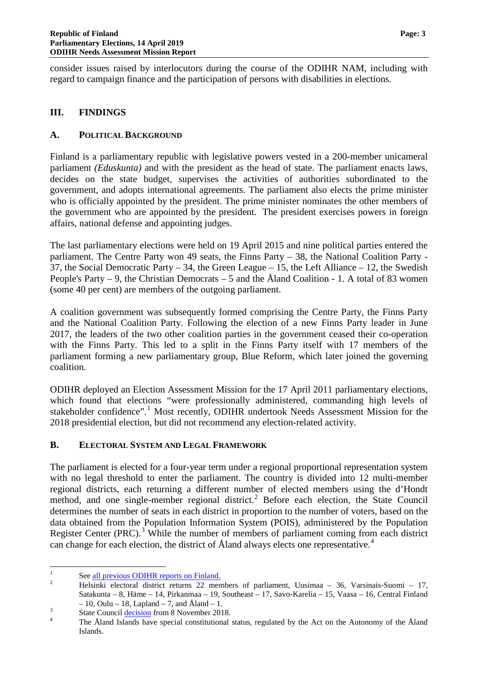consider issues raised by interlocutors during the course of the ODIHR NAM, including with regard to campaign finance and the participation of persons with disabilities in elections.

#### <span id="page-4-0"></span>**III. FINDINGS**

#### <span id="page-4-1"></span>**A. POLITICAL BACKGROUND**

Finland is a parliamentary republic with legislative powers vested in a 200-member unicameral parliament *(Eduskunta)* and with the president as the head of state. The parliament enacts laws, decides on the state budget, supervises the activities of authorities subordinated to the government, and adopts international agreements. The parliament also elects the prime minister who is officially appointed by the president. The prime minister nominates the other members of the government who are appointed by the president. The president exercises powers in foreign affairs, national defense and appointing judges.

The last parliamentary elections were held on 19 April 2015 and nine political parties entered the parliament. The Centre Party won 49 seats, the Finns Party – 38, the National Coalition Party - 37, the Social Democratic Party – 34, the Green League – 15, the Left Alliance – 12, the Swedish People's Party  $-9$ , the Christian Democrats  $-5$  and the Åland Coalition - 1. A total of 83 women (some 40 per cent) are members of the outgoing parliament.

A coalition government was subsequently formed comprising the Centre Party, the Finns Party and the National Coalition Party. Following the election of a new Finns Party leader in June 2017, the leaders of the two other coalition parties in the government ceased their co-operation with the Finns Party. This led to a split in the Finns Party itself with 17 members of the parliament forming a new parliamentary group, Blue Reform, which later joined the governing coalition.

ODIHR deployed an Election Assessment Mission for the 17 April 2011 parliamentary elections, which found that elections "were professionally administered, commanding high levels of stakeholder confidence".<sup>[1](#page-4-3)</sup> Most recently, ODIHR undertook Needs Assessment Mission for the 2018 presidential election, but did not recommend any election-related activity.

#### <span id="page-4-2"></span>**B. ELECTORAL SYSTEM AND LEGAL FRAMEWORK**

The parliament is elected for a four-year term under a regional proportional representation system with no legal threshold to enter the parliament. The country is divided into 12 multi-member regional districts, each returning a different number of elected members using the d'Hondt method, and one single-member regional district.<sup>[2](#page-4-4)</sup> Before each election, the State Council determines the number of seats in each district in proportion to the number of voters, based on the data obtained from the Population Information System (POIS), administered by the Population Register Center (PRC).<sup>[3](#page-4-5)</sup> While the number of members of parliament coming from each district can change for each election, the district of Åland always elects one representative.<sup>[4](#page-4-6)</sup>

<span id="page-4-4"></span>

<span id="page-4-3"></span><sup>&</sup>lt;sup>1</sup> See <u>all previous ODIHR reports on Finland.</u><br><sup>2</sup> Helsinki electoral district returns 22 members of parliament, Uusimaa – 36, Varsinais-Suomi – 17, Satakunta – 8, Häme – 14, Pirkanmaa – 19, Southeast – 17, Savo-Karelia – 15, Vaasa – 16, Central Finland

<span id="page-4-6"></span><span id="page-4-5"></span>

<sup>– 10,</sup> Oulu – 18, Lapland – 7, and Åland – 1.<br>
<sup>3</sup> State Council <u>decision</u> from 8 November 2018.<br>
<sup>4</sup> The Åland Islands have special constitutional status, regulated by the Act on the Autonomy of the Åland Islands.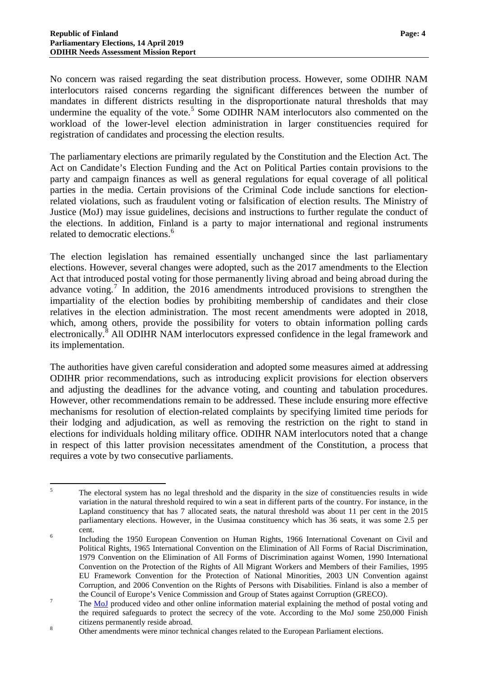No concern was raised regarding the seat distribution process. However, some ODIHR NAM interlocutors raised concerns regarding the significant differences between the number of mandates in different districts resulting in the disproportionate natural thresholds that may undermine the equality of the vote.<sup>[5](#page-5-0)</sup> Some ODIHR NAM interlocutors also commented on the workload of the lower-level election administration in larger constituencies required for registration of candidates and processing the election results.

The parliamentary elections are primarily regulated by the Constitution and the Election Act. The Act on Candidate's Election Funding and the Act on Political Parties contain provisions to the party and campaign finances as well as general regulations for equal coverage of all political parties in the media. Certain provisions of the Criminal Code include sanctions for electionrelated violations, such as fraudulent voting or falsification of election results. The Ministry of Justice (MoJ) may issue guidelines, decisions and instructions to further regulate the conduct of the elections. In addition, Finland is a party to major international and regional instruments related to democratic elections.<sup>[6](#page-5-1)</sup>

The election legislation has remained essentially unchanged since the last parliamentary elections. However, several changes were adopted, such as the 2017 amendments to the Election Act that introduced postal voting for those permanently living abroad and being abroad during the advance voting.<sup>[7](#page-5-2)</sup> In addition, the 2016 amendments introduced provisions to strengthen the impartiality of the election bodies by prohibiting membership of candidates and their close relatives in the election administration. The most recent amendments were adopted in 2018, which, among others, provide the possibility for voters to obtain information polling cards electronically.[8](#page-5-3) All ODIHR NAM interlocutors expressed confidence in the legal framework and its implementation.

The authorities have given careful consideration and adopted some measures aimed at addressing ODIHR prior recommendations, such as introducing explicit provisions for election observers and adjusting the deadlines for the advance voting, and counting and tabulation procedures. However, other recommendations remain to be addressed. These include ensuring more effective mechanisms for resolution of election-related complaints by specifying limited time periods for their lodging and adjudication, as well as removing the restriction on the right to stand in elections for individuals holding military office. ODIHR NAM interlocutors noted that a change in respect of this latter provision necessitates amendment of the Constitution, a process that requires a vote by two consecutive parliaments.

<span id="page-5-0"></span><sup>&</sup>lt;sup>5</sup> The electoral system has no legal threshold and the disparity in the size of constituencies results in wide variation in the natural threshold required to win a seat in different parts of the country. For instance, in the Lapland constituency that has 7 allocated seats, the natural threshold was about 11 per cent in the 2015 parliamentary elections. However, in the Uusimaa constituency which has 36 seats, it was some 2.5 per

<span id="page-5-1"></span>cent. <sup>6</sup> Including the 1950 European Convention on Human Rights, 1966 International Covenant on Civil and Political Rights, 1965 International Convention on the Elimination of All Forms of Racial Discrimination, 1979 Convention on the Elimination of All Forms of Discrimination against Women, 1990 International Convention on the Protection of the Rights of All Migrant Workers and Members of their Families, 1995 EU Framework Convention for the Protection of National Minorities, 2003 UN Convention against Corruption, and 2006 Convention on the Rights of Persons with Disabilities. Finland is also a member of

<span id="page-5-2"></span>the Council of Europe's Venice Commission and Group of States against Corruption (GRECO).<br>The [MoJ](https://vaalit.fi/en/article/-/asset_publisher/1410853/kirjeaanestys-ensimmaista-kertaa-kaytossa-eduskuntavaaleissa-2019) produced video and other online information material explaining the method of postal voting and the required safeguards to protect the secrecy of the vote. According to the MoJ some 250,000 Finish s citizens permanently reside abroad.<br><sup>8</sup> Other amendments were minor technical changes related to the European Parliament elections.

<span id="page-5-3"></span>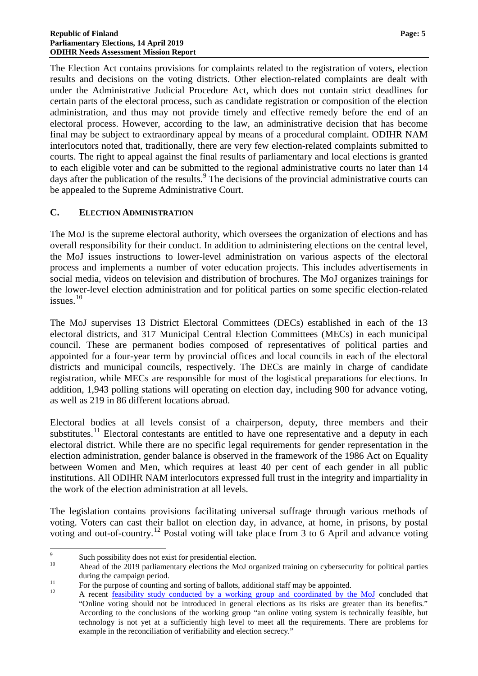The Election Act contains provisions for complaints related to the registration of voters, election results and decisions on the voting districts. Other election-related complaints are dealt with under the Administrative Judicial Procedure Act, which does not contain strict deadlines for certain parts of the electoral process, such as candidate registration or composition of the election administration, and thus may not provide timely and effective remedy before the end of an electoral process. However, according to the law, an administrative decision that has become final may be subject to extraordinary appeal by means of a procedural complaint. ODIHR NAM interlocutors noted that, traditionally, there are very few election-related complaints submitted to courts. The right to appeal against the final results of parliamentary and local elections is granted to each eligible voter and can be submitted to the regional administrative courts no later than 14 days after the publication of the results.<sup>[9](#page-6-1)</sup> The decisions of the provincial administrative courts can be appealed to the Supreme Administrative Court.

#### <span id="page-6-0"></span>**C. ELECTION ADMINISTRATION**

The MoJ is the supreme electoral authority, which oversees the organization of elections and has overall responsibility for their conduct. In addition to administering elections on the central level, the MoJ issues instructions to lower-level administration on various aspects of the electoral process and implements a number of voter education projects. This includes advertisements in social media, videos on television and distribution of brochures. The MoJ organizes trainings for the lower-level election administration and for political parties on some specific election-related issues.<sup>[10](#page-6-2)</sup>

The MoJ supervises 13 District Electoral Committees (DECs) established in each of the 13 electoral districts, and 317 Municipal Central Election Committees (MECs) in each municipal council. These are permanent bodies composed of representatives of political parties and appointed for a four-year term by provincial offices and local councils in each of the electoral districts and municipal councils, respectively. The DECs are mainly in charge of candidate registration, while MECs are responsible for most of the logistical preparations for elections. In addition, 1,943 polling stations will operating on election day, including 900 for advance voting, as well as 219 in 86 different locations abroad.

Electoral bodies at all levels consist of a chairperson, deputy, three members and their substitutes.<sup>[11](#page-6-3)</sup> Electoral contestants are entitled to have one representative and a deputy in each electoral district. While there are no specific legal requirements for gender representation in the election administration, gender balance is observed in the framework of the 1986 Act on Equality between Women and Men, which requires at least 40 per cent of each gender in all public institutions. All ODIHR NAM interlocutors expressed full trust in the integrity and impartiality in the work of the election administration at all levels.

The legislation contains provisions facilitating universal suffrage through various methods of voting. Voters can cast their ballot on election day, in advance, at home, in prisons, by postal voting and out-of-country.<sup>[12](#page-6-4)</sup> Postal voting will take place from 3 to 6 April and advance voting

<span id="page-6-1"></span><sup>&</sup>lt;sup>9</sup><br><sup>10</sup> Ahead of the 2019 parliamentary elections the MoJ organized training on cybersecurity for political parties

<span id="page-6-4"></span><span id="page-6-3"></span>

<span id="page-6-2"></span>during the campaign period.<br>
<sup>11</sup> For the purpose of counting and sorting of ballots, additional staff may be appointed.<br>
<sup>12</sup> A recent [feasibility study conducted by a working group and coordinated by the MoJ](https://vaalit.fi/en/article/-/asset_publisher/1410853/tyoryhma-nettiaanestyksen-riskit-suuremmat-kuin-hyodyt) concluded th "Online voting should not be introduced in general elections as its risks are greater than its benefits." According to the conclusions of the working group "an online voting system is technically feasible, but technology is not yet at a sufficiently high level to meet all the requirements. There are problems for example in the reconciliation of verifiability and election secrecy."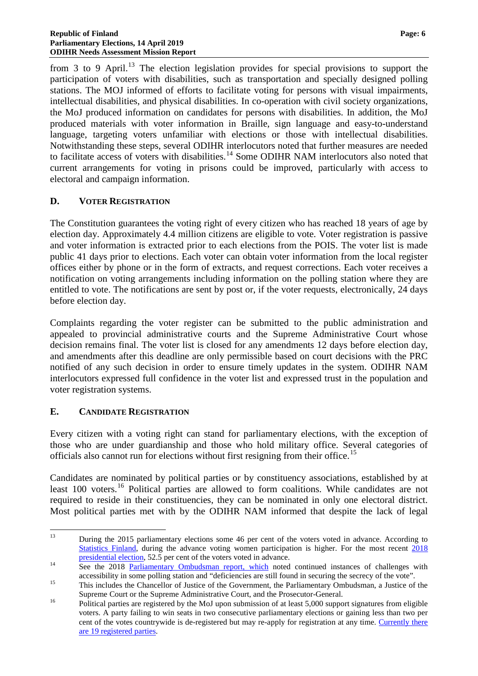from 3 to 9 April.<sup>[13](#page-7-2)</sup> The election legislation provides for special provisions to support the participation of voters with disabilities, such as transportation and specially designed polling stations. The MOJ informed of efforts to facilitate voting for persons with visual impairments, intellectual disabilities, and physical disabilities. In co-operation with civil society organizations, the MoJ produced information on candidates for persons with disabilities. In addition, the MoJ produced materials with voter information in Braille, sign language and easy-to-understand language, targeting voters unfamiliar with elections or those with intellectual disabilities. Notwithstanding these steps, several ODIHR interlocutors noted that further measures are needed to facilitate access of voters with disabilities.<sup>[14](#page-7-3)</sup> Some ODIHR NAM interlocutors also noted that current arrangements for voting in prisons could be improved, particularly with access to electoral and campaign information.

#### <span id="page-7-0"></span>**D. VOTER REGISTRATION**

The Constitution guarantees the voting right of every citizen who has reached 18 years of age by election day. Approximately 4.4 million citizens are eligible to vote. Voter registration is passive and voter information is extracted prior to each elections from the POIS. The voter list is made public 41 days prior to elections. Each voter can obtain voter information from the local register offices either by phone or in the form of extracts, and request corrections. Each voter receives a notification on voting arrangements including information on the polling station where they are entitled to vote. The notifications are sent by post or, if the voter requests, electronically, 24 days before election day.

Complaints regarding the voter register can be submitted to the public administration and appealed to provincial administrative courts and the Supreme Administrative Court whose decision remains final. The voter list is closed for any amendments 12 days before election day, and amendments after this deadline are only permissible based on court decisions with the PRC notified of any such decision in order to ensure timely updates in the system. ODIHR NAM interlocutors expressed full confidence in the voter list and expressed trust in the population and voter registration systems.

#### <span id="page-7-1"></span>**E. CANDIDATE REGISTRATION**

Every citizen with a voting right can stand for parliamentary elections, with the exception of those who are under guardianship and those who hold military office. Several categories of officials also cannot run for elections without first resigning from their office.<sup>[15](#page-7-4)</sup>

Candidates are nominated by political parties or by constituency associations, established by at least 100 voters.<sup>[16](#page-7-5)</sup> Political parties are allowed to form coalitions. While candidates are not required to reside in their constituencies, they can be nominated in only one electoral district. Most political parties met with by the ODIHR NAM informed that despite the lack of legal

<span id="page-7-2"></span><sup>&</sup>lt;sup>13</sup> During the 2015 parliamentary elections some 46 per cent of the voters voted in advance. According to [Statistics Finland,](https://portal.osce.org/portal/page/portal/OSCEIntranet/OSCEhttps:/www.stat.fi/til/evaa/2015/evaa_2015_2015-04-30_kat_002_en.html) during the advance voting women participation is higher. For the most recent [2018](http://www.stat.fi/til/pvaa/2018/pvaa_2018_2018-04-03_tie_001_en.html) presidential election, 52.5 per cent of the voters voted in advance.

<span id="page-7-3"></span> $\frac{14}{2}$  See the 2018 [Parliamentary Ombudsman](https://www.oikeusasiamies.fi/en_GB/-/oikeusasiamies-teki-yllatystarkastuksia-ennakkoaanestyspaikoille-vaalisalaisuuden-turvaamisessa-edelleen-puutteita) report, which noted continued instances of challenges with

accessibility in some polling station and "deficiencies are still found in securing the secrecy of the vote".<br>This includes the Chancellor of Justice of the Government, the Parliamentary Ombudsman, a Justice of the

<span id="page-7-5"></span><span id="page-7-4"></span>Supreme Court or the Supreme Administrative Court, and the Prosecutor-General.<br><sup>16</sup> Political parties are registered by the MoJ upon submission of at least 5,000 support signatures from eligible voters. A party failing to win seats in two consecutive parliamentary elections or gaining less than two per cent of the votes countrywide is de-registered but may re-apply for registration at any time. [Currently there](https://vaalit.fi/en/list-of-registered-parties)  [are 19 registered parties.](https://vaalit.fi/en/list-of-registered-parties)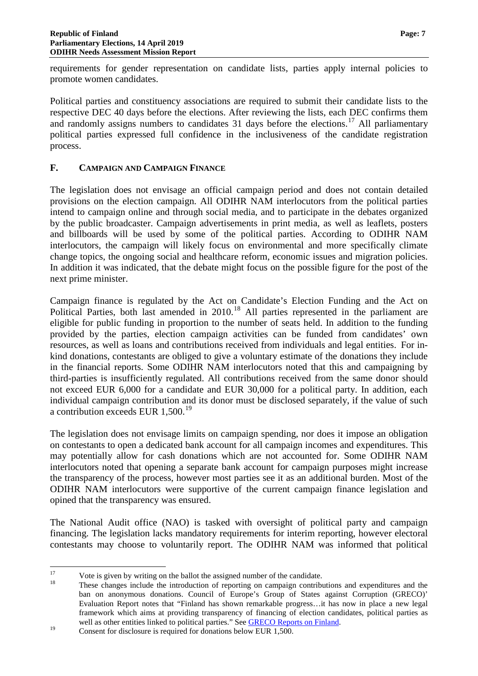requirements for gender representation on candidate lists, parties apply internal policies to promote women candidates.

Political parties and constituency associations are required to submit their candidate lists to the respective DEC 40 days before the elections. After reviewing the lists, each DEC confirms them and randomly assigns numbers to candidates 31 days before the elections.<sup>[17](#page-8-1)</sup> All parliamentary political parties expressed full confidence in the inclusiveness of the candidate registration process.

#### <span id="page-8-0"></span>**F. CAMPAIGN AND CAMPAIGN FINANCE**

The legislation does not envisage an official campaign period and does not contain detailed provisions on the election campaign. All ODIHR NAM interlocutors from the political parties intend to campaign online and through social media, and to participate in the debates organized by the public broadcaster. Campaign advertisements in print media, as well as leaflets, posters and billboards will be used by some of the political parties. According to ODIHR NAM interlocutors, the campaign will likely focus on environmental and more specifically climate change topics, the ongoing social and healthcare reform, economic issues and migration policies. In addition it was indicated, that the debate might focus on the possible figure for the post of the next prime minister.

Campaign finance is regulated by the Act on Candidate's Election Funding and the Act on Political Parties, both last amended in 2010.<sup>[18](#page-8-2)</sup> All parties represented in the parliament are eligible for public funding in proportion to the number of seats held. In addition to the funding provided by the parties, election campaign activities can be funded from candidates' own resources, as well as loans and contributions received from individuals and legal entities. For inkind donations, contestants are obliged to give a voluntary estimate of the donations they include in the financial reports. Some ODIHR NAM interlocutors noted that this and campaigning by third-parties is insufficiently regulated. All contributions received from the same donor should not exceed EUR 6,000 for a candidate and EUR 30,000 for a political party. In addition, each individual campaign contribution and its donor must be disclosed separately, if the value of such a contribution exceeds EUR 1,500.<sup>[19](#page-8-3)</sup>

The legislation does not envisage limits on campaign spending, nor does it impose an obligation on contestants to open a dedicated bank account for all campaign incomes and expenditures. This may potentially allow for cash donations which are not accounted for. Some ODIHR NAM interlocutors noted that opening a separate bank account for campaign purposes might increase the transparency of the process, however most parties see it as an additional burden. Most of the ODIHR NAM interlocutors were supportive of the current campaign finance legislation and opined that the transparency was ensured.

The National Audit office (NAO) is tasked with oversight of political party and campaign financing. The legislation lacks mandatory requirements for interim reporting, however electoral contestants may choose to voluntarily report. The ODIHR NAM was informed that political

<span id="page-8-2"></span>

<span id="page-8-1"></span><sup>&</sup>lt;sup>17</sup><br><sup>18</sup> Vote is given by writing on the ballot the assigned number of the candidate.<br><sup>18</sup> These changes include the introduction of reporting on campaign contributions and expenditures and the ban on anonymous donations. Council of Europe's Group of States against Corruption (GRECO)' Evaluation Report notes that "Finland has shown remarkable progress…it has now in place a new legal framework which aims at providing transparency of financing of election candidates, political parties as well as other entities linked to political parties." See [GRECO Reports on Finland.](https://www.coe.int/en/web/greco/evaluations/finland)<br>
Consent for disclosure is required for donations below EUR 1,500.

<span id="page-8-3"></span>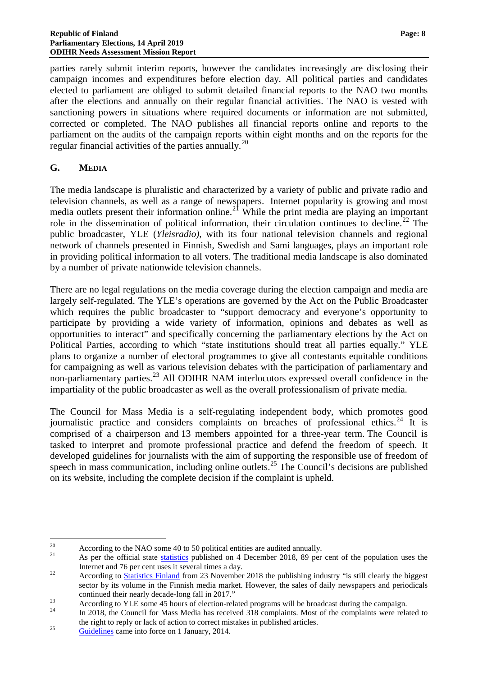parties rarely submit interim reports, however the candidates increasingly are disclosing their campaign incomes and expenditures before election day. All political parties and candidates elected to parliament are obliged to submit detailed financial reports to the NAO two months after the elections and annually on their regular financial activities. The NAO is vested with sanctioning powers in situations where required documents or information are not submitted, corrected or completed. The NAO publishes all financial reports online and reports to the parliament on the audits of the campaign reports within eight months and on the reports for the regular financial activities of the parties annually.<sup>[20](#page-9-1)</sup>

#### <span id="page-9-0"></span>**G. MEDIA**

The media landscape is pluralistic and characterized by a variety of public and private radio and television channels, as well as a range of newspapers. Internet popularity is growing and most media outlets present their information online.<sup>[21](#page-9-2)</sup> While the print media are playing an important role in the dissemination of political information, their circulation continues to decline.<sup>[22](#page-9-3)</sup> The public broadcaster, YLE (*Yleisradio)*, with its four national television channels and regional network of channels presented in Finnish, Swedish and Sami languages, plays an important role in providing political information to all voters. The traditional media landscape is also dominated by a number of private nationwide television channels.

There are no legal regulations on the media coverage during the election campaign and media are largely self-regulated. The YLE's operations are governed by the Act on the Public Broadcaster which requires the public broadcaster to "support democracy and everyone's opportunity to participate by providing a wide variety of information, opinions and debates as well as opportunities to interact" and specifically concerning the parliamentary elections by the Act on Political Parties, according to which "state institutions should treat all parties equally." YLE plans to organize a number of electoral programmes to give all contestants equitable conditions for campaigning as well as various television debates with the participation of parliamentary and non-parliamentary parties.<sup>[23](#page-9-4)</sup> All ODIHR NAM interlocutors expressed overall confidence in the impartiality of the public broadcaster as well as the overall professionalism of private media.

The Council for Mass Media is a self-regulating independent body, which promotes good journalistic practice and considers complaints on breaches of professional ethics.<sup>[24](#page-9-5)</sup> It is comprised of a chairperson and 13 members appointed for a three-year term. The Council is tasked to interpret and promote professional practice and defend the freedom of speech. It developed guidelines for journalists with the aim of supporting the responsible use of freedom of speech in mass communication, including online outlets.<sup>[25](#page-9-6)</sup> The Council's decisions are published on its website, including the complete decision if the complaint is upheld.

<span id="page-9-1"></span><sup>20</sup> According to the NAO some 40 to 50 political entities are audited annually.<br>
21 As per the official state [statistics](http://www.stat.fi/til/sutivi/2013/sutivi_2013_2013-11-07_tie_001_en.html) published on 4 December 2018, 89 per cent of the population uses the

<span id="page-9-3"></span><span id="page-9-2"></span>Internet and 76 per cent uses it several times a day.<br>22 According to [Statistics](http://www.stat.fi/til/jvie/2013/jvie_2013_2014-11-25_tau_002_en.html) Finland from 23 November 2018 the publishing industry "is still clearly the biggest sector by its volume in the Finnish media market. However, the sales of daily newspapers and periodicals

<span id="page-9-4"></span>continued their nearly decade-long fall in 2017."<br>According to YLE some 45 hours of election-related programs will be broadcast during the campaign.<br>In 2018, the Council for Mass Media has received 318 complaints. Most of

<span id="page-9-5"></span>the right to reply or lack of action to correct mistakes in published articles.<br> [Guidelines](http://www.jsn.fi/en/guidelines_for_journalists/) came into force on 1 January, 2014.

<span id="page-9-6"></span>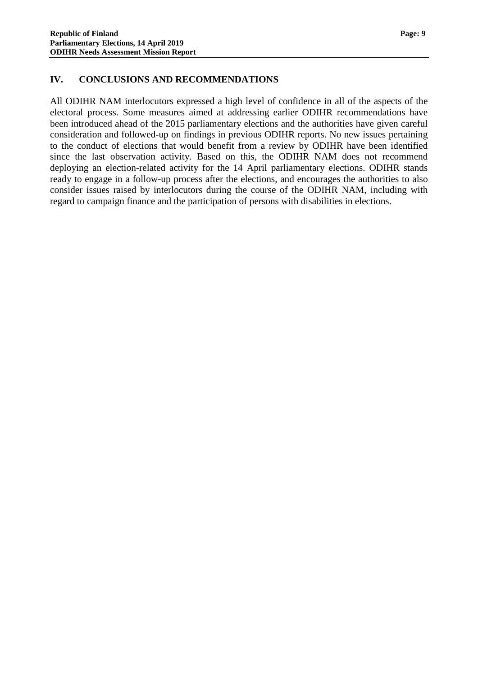#### <span id="page-10-0"></span>**IV. CONCLUSIONS AND RECOMMENDATIONS**

All ODIHR NAM interlocutors expressed a high level of confidence in all of the aspects of the electoral process. Some measures aimed at addressing earlier ODIHR recommendations have been introduced ahead of the 2015 parliamentary elections and the authorities have given careful consideration and followed-up on findings in previous ODIHR reports. No new issues pertaining to the conduct of elections that would benefit from a review by ODIHR have been identified since the last observation activity. Based on this, the ODIHR NAM does not recommend deploying an election-related activity for the 14 April parliamentary elections. ODIHR stands ready to engage in a follow-up process after the elections, and encourages the authorities to also consider issues raised by interlocutors during the course of the ODIHR NAM, including with regard to campaign finance and the participation of persons with disabilities in elections.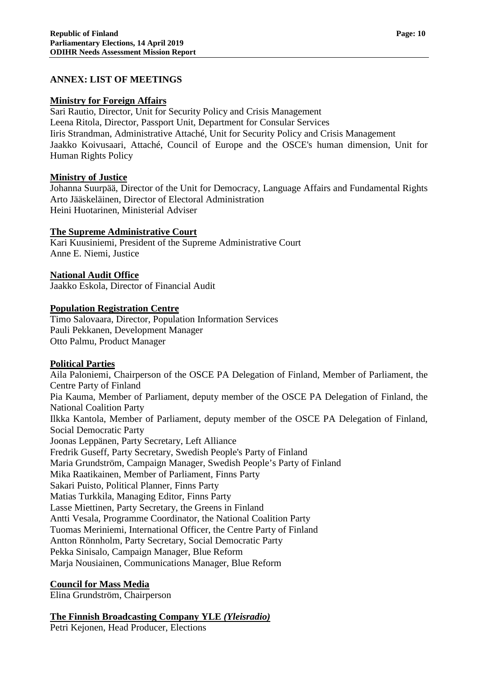#### <span id="page-11-0"></span>**ANNEX: LIST OF MEETINGS**

#### **Ministry for Foreign Affairs**

Sari Rautio, Director, Unit for Security Policy and Crisis Management Leena Ritola, Director, Passport Unit, Department for Consular Services Iiris Strandman, Administrative Attaché, Unit for Security Policy and Crisis Management Jaakko Koivusaari, Attaché, Council of Europe and the OSCE's human dimension, Unit for Human Rights Policy

#### **Ministry of Justice**

Johanna Suurpää, Director of the Unit for Democracy, Language Affairs and Fundamental Rights Arto Jääskeläinen, Director of Electoral Administration Heini Huotarinen, Ministerial Adviser

#### **The Supreme Administrative Court**

Kari Kuusiniemi, President of the Supreme Administrative Court Anne E. Niemi, Justice

#### **National Audit Office**

Jaakko Eskola, Director of Financial Audit

#### **Population Registration Centre**

Timo Salovaara, Director, Population Information Services Pauli Pekkanen, Development Manager Otto Palmu, Product Manager

#### **Political Parties**

Aila Paloniemi, Chairperson of the OSCE PA Delegation of Finland, Member of Parliament, the Centre Party of Finland Pia Kauma, Member of Parliament, deputy member of the OSCE PA Delegation of Finland, the National Coalition Party Ilkka Kantola, Member of Parliament, deputy member of the OSCE PA Delegation of Finland, Social Democratic Party Joonas Leppänen, Party Secretary, Left Alliance Fredrik Guseff, Party Secretary, Swedish People's Party of Finland Maria Grundström, Campaign Manager, Swedish People's Party of Finland Mika Raatikainen, Member of Parliament, Finns Party Sakari Puisto, Political Planner, Finns Party Matias Turkkila, Managing Editor, Finns Party Lasse Miettinen, Party Secretary, the Greens in Finland Antti Vesala, Programme Coordinator, the National Coalition Party Tuomas Meriniemi, International Officer, the Centre Party of Finland Antton Rönnholm, Party Secretary, Social Democratic Party Pekka Sinisalo, Campaign Manager, Blue Reform Marja Nousiainen, Communications Manager, Blue Reform

#### **Council for Mass Media**

Elina Grundström, Chairperson

#### **The Finnish Broadcasting Company YLE** *(Yleisradio)*

Petri Kejonen, Head Producer, Elections